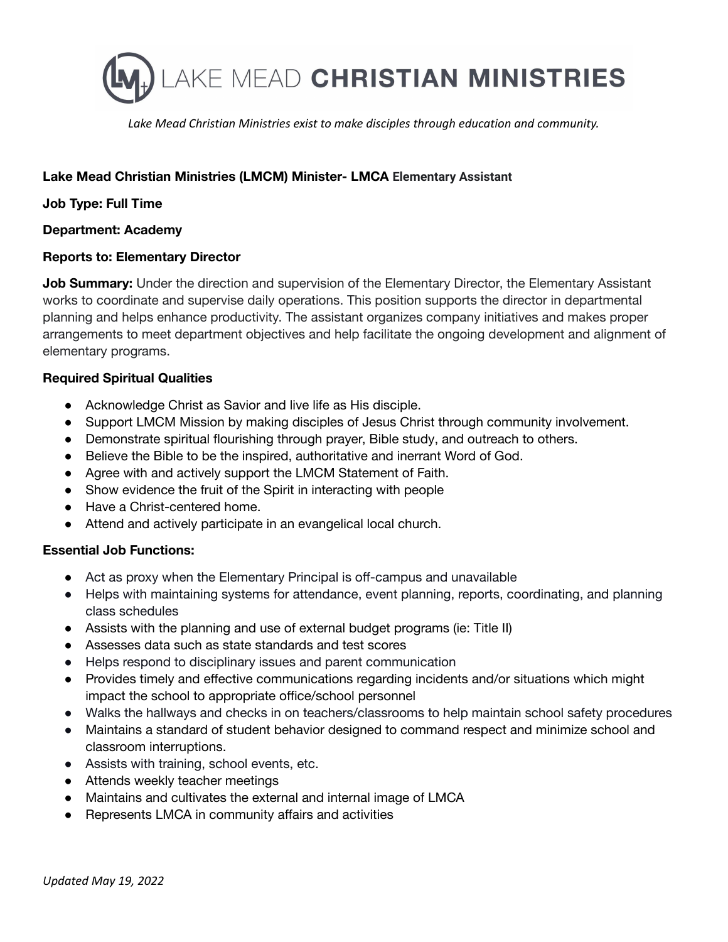

*Lake Mead Christian Ministries exist to make disciples through education and community.*

# **Lake Mead Christian Ministries (LMCM) Minister- LMCA Elementary Assistant**

## **Job Type: Full Time**

### **Department: Academy**

### **Reports to: Elementary Director**

**Job Summary:** Under the direction and supervision of the Elementary Director, the Elementary Assistant works to coordinate and supervise daily operations. This position supports the director in departmental planning and helps enhance productivity. The assistant organizes company initiatives and makes proper arrangements to meet department objectives and help facilitate the ongoing development and alignment of elementary programs.

### **Required Spiritual Qualities**

- Acknowledge Christ as Savior and live life as His disciple.
- Support LMCM Mission by making disciples of Jesus Christ through community involvement.
- Demonstrate spiritual flourishing through prayer, Bible study, and outreach to others.
- Believe the Bible to be the inspired, authoritative and inerrant Word of God.
- Agree with and actively support the LMCM Statement of Faith.
- Show evidence the fruit of the Spirit in interacting with people
- Have a Christ-centered home.
- Attend and actively participate in an evangelical local church.

#### **Essential Job Functions:**

- Act as proxy when the Elementary Principal is off-campus and unavailable
- Helps with maintaining systems for attendance, event planning, reports, coordinating, and planning class schedules
- Assists with the planning and use of external budget programs (ie: Title II)
- Assesses data such as state standards and test scores
- Helps respond to disciplinary issues and parent communication
- Provides timely and effective communications regarding incidents and/or situations which might impact the school to appropriate office/school personnel
- Walks the hallways and checks in on teachers/classrooms to help maintain school safety procedures
- Maintains a standard of student behavior designed to command respect and minimize school and classroom interruptions.
- Assists with training, school events, etc.
- Attends weekly teacher meetings
- Maintains and cultivates the external and internal image of LMCA
- Represents LMCA in community affairs and activities